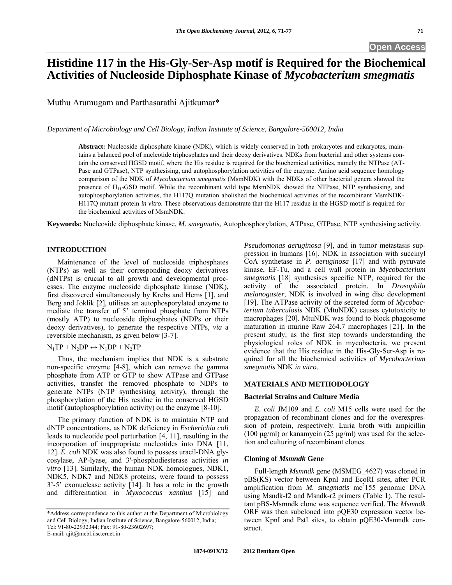# **Open Access**

# **Histidine 117 in the His-Gly-Ser-Asp motif is Required for the Biochemical Activities of Nucleoside Diphosphate Kinase of** *Mycobacterium smegmatis*

Muthu Arumugam and Parthasarathi Ajitkumar\*

*Department of Microbiology and Cell Biology, Indian Institute of Science, Bangalore-560012, India* 

**Abstract:** Nucleoside diphosphate kinase (NDK), which is widely conserved in both prokaryotes and eukaryotes, maintains a balanced pool of nucleotide triphosphates and their deoxy derivatives. NDKs from bacterial and other systems contain the conserved HGSD motif, where the His residue is required for the biochemical activities, namely the NTPase (AT-Pase and GTPase), NTP synthesising, and autophosphorylation activities of the enzyme. Amino acid sequence homology comparison of the NDK of *Mycobacterium smegmatis* (MsmNDK) with the NDKs of other bacterial genera showed the presence of H117GSD motif. While the recombinant wild type MsmNDK showed the NTPase, NTP synthesising, and autophosphorylation activities, the H117Q mutation abolished the biochemical activities of the recombinant MsmNDK-H117Q mutant protein *in vitro*. These observations demonstrate that the H117 residue in the HGSD motif is required for the biochemical activities of MsmNDK.

**Keywords:** Nucleoside diphosphate kinase, *M. smegmatis*, Autophosphorylation, ATPase, GTPase, NTP synthesising activity.

# **INTRODUCTION**

 Maintenance of the level of nucleoside triphosphates (NTPs) as well as their corresponding deoxy derivatives (dNTPs) is crucial to all growth and developmental processes. The enzyme nucleoside diphosphate kinase (NDK), first discovered simultaneously by Krebs and Hems [1], and Berg and Joklik [2], utilises an autophosporylated enzyme to mediate the transfer of 5' terminal phosphate from NTPs (mostly ATP) to nucleoside diphosphates (NDPs or their deoxy derivatives), to generate the respective NTPs, *via* a reversible mechanism, as given below [3-7].

# $N_1TP + N_2DP \leftrightarrow N_1DP + N_2TP$

 Thus, the mechanism implies that NDK is a substrate non-specific enzyme [4-8], which can remove the gamma phosphate from ATP or GTP to show ATPase and GTPase activities, transfer the removed phosphate to NDPs to generate NTPs (NTP synthesising activity), through the phosphorylation of the His residue in the conserved HGSD motif (autophosphorylation activity) on the enzyme [8-10].

 The primary function of NDK is to maintain NTP and dNTP concentrations, as NDK deficiency in *Escherichia coli* leads to nucleotide pool perturbation [4, 11], resulting in the incorporation of inappropriate nucleotides into DNA [11, 12]. *E. coli* NDK was also found to possess uracil-DNA glycosylase, AP-lyase, and 3'-phosphodiesterase activities *in vitro* [13]. Similarly, the human NDK homologues, NDK1, NDK5, NDK7 and NDK8 proteins, were found to possess 3'-5' exonuclease activity [14]. It has a role in the growth and differentiation in *Myxococcus xanthus* [15] and *Pseudomonas aeruginosa* [9], and in tumor metastasis suppression in humans [16]. NDK in association with succinyl CoA synthetase in *P. aeruginosa* [17] and with pyruvate kinase, EF-Tu, and a cell wall protein in *Mycobacterium smegmatis* [18] synthesises specific NTP, required for the activity of the associated protein. In *Drosophila melanogaster*, NDK is involved in wing disc development [19]. The ATPase activity of the secreted form of *Mycobacterium tuberculosis* NDK (MtuNDK) causes cytotoxicity to macrophages [20]. MtuNDK was found to block phagosome maturation in murine Raw 264.7 macrophages [21]. In the present study, as the first step towards understanding the physiological roles of NDK in mycobacteria, we present evidence that the His residue in the His-Gly-Ser-Asp is required for all the biochemical activities of *Mycobacterium smegmatis* NDK *in vitro*.

# **MATERIALS AND METHODOLOGY**

### **Bacterial Strains and Culture Media**

 *E. coli* JM109 and *E. coli* M15 cells were used for the propagation of recombinant clones and for the overexpression of protein, respectively. Luria broth with ampicillin (100  $\mu$ g/ml) or kanamycin (25  $\mu$ g/ml) was used for the selection and culturing of recombinant clones.

### **Cloning of** *Msmndk* **Gene**

 Full-length *Msmndk* gene (MSMEG\_4627) was cloned in pBS(KS) vector between KpnI and EcoRI sites, after PCR amplification from *M. smegmatis* mc<sup>2</sup>155 genomic DNA using Msndk-f2 and Msndk-r2 primers (Table **1**). The resultant pBS-Msmndk clone was sequence verified. The *Msmndk* ORF was then subcloned into pQE30 expression vector between KpnI and PstI sites, to obtain pQE30-Msmndk construct.

<sup>\*</sup>Address correspondence to this author at the Department of Microbiology and Cell Biology, Indian Institute of Science, Bangalore-560012, India; Tel: 91-80-22932344; Fax: 91-80-23602697; E-mail: ajit@mcbl.iisc.ernet.in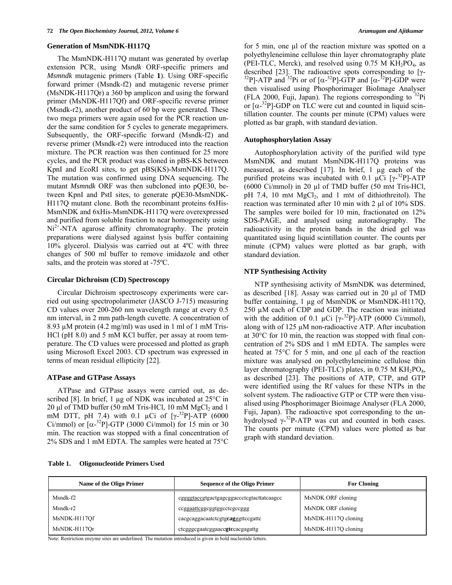#### **Generation of MsmNDK-H117Q**

 The MsmNDK-H117Q mutant was generated by overlap extension PCR, using Ms*ndk* ORF-specific primers and *Msmndk* mutagenic primers (Table **1**). Using ORF-specific forward primer (Msndk-f2) and mutagenic reverse primer (MsNDK-H117Qr) a 360 bp amplicon and using the forward primer (MsNDK-H117Qf) and ORF-specific reverse primer (Msndk-r2), another product of 60 bp were generated. These two mega primers were again used for the PCR reaction under the same condition for 5 cycles to generate megaprimers. Subsequently, the ORF-specific forward (Msndk-f2) and reverse primer (Msndk-r2) were introduced into the reaction mixture. The PCR reaction was then continued for 25 more cycles, and the PCR product was cloned in pBS-KS between KpnI and EcoRI sites, to get pBS(KS)-MsmNDK-H117Q. The mutation was confirmed using DNA sequencing. The mutant *Msmndk* ORF was then subcloned into pQE30, between KpnI and PstI sites, to generate pQE30-MsmNDK-H117Q mutant clone. Both the recombinant proteins 6xHis-MsmNDK and 6xHis-MsmNDK-H117Q were overexpressed and purified from soluble fraction to near homogeneity using  $Ni<sup>2+</sup>-NTA$  agarose affinity chromatography. The protein preparations were dialysed against lysis buffer containing 10% glycerol. Dialysis was carried out at 4ºC with three changes of 500 ml buffer to remove imidazole and other salts, and the protein was stored at -75ºC.

# **Circular Dichroism (CD) Spectroscopy**

 Circular Dichroism spectroscopy experiments were carried out using spectropolarimeter (JASCO J-715) measuring CD values over 200-260 nm wavelength range at every 0.5 nm interval, in 2 mm path-length cuvette. A concentration of 8.93 µM protein (4.2 mg/ml) was used in 1 ml of 1 mM Tris-HCl (pH 8.0) and 5 mM KCl buffer, per assay at room temperature. The CD values were processed and plotted as graph using Microsoft Excel 2003. CD spectrum was expressed in terms of mean residual ellipticity [22].

### **ATPase and GTPase Assays**

 ATPase and GTPase assays were carried out, as described [8]. In brief, 1 µg of NDK was incubated at 25°C in 20 μl of TMD buffer (50 mM Tris-HCl, 10 mM  $MgCl<sub>2</sub>$  and 1 mM DTT, pH 7.4) with 0.1  $\mu$ Ci of [ $\gamma^{-32}P$ ]-ATP (6000 Ci/mmol) or  $[\alpha^{-32}P]$ -GTP (3000 Ci/mmol) for 15 min or 30 min. The reaction was stopped with a final concentration of 2% SDS and 1 mM EDTA. The samples were heated at 75°C

for 5 min, one μl of the reaction mixture was spotted on a polyethyleneimine cellulose thin layer chromatography plate (PEI-TLC, Merck), and resolved using 0.75 M KH<sub>2</sub>PO<sub>4</sub>, as described [23]. The radioactive spots corresponding to [ $\gamma$ described [23]. The radioactive spots corresponding to [ $\gamma$ -<br><sup>32</sup>P]-ATP and <sup>32</sup>Pi or of [ $\alpha$ -<sup>32</sup>P]-GTP and [ $\alpha$ -<sup>32</sup>P]-GDP were then visualised using Phosphorimager BioImage Analyser (FLA 2000, Fuji, Japan). The regions corresponding to  $^{32}$ Pi or  $[\alpha^{-32}P]$ -GDP on TLC were cut and counted in liquid scintillation counter. The counts per minute (CPM) values were plotted as bar graph, with standard deviation.

#### **Autophosphorylation Assay**

 Autophosphorylation activity of the purified wild type MsmNDK and mutant MsmNDK-H117Q proteins was measured, as described [17]. In brief, 1 µg each of the purified proteins was incubated with 0.1  $\mu$ Ci [ $\gamma$ -<sup>32</sup>P]-ATP (6000 Ci/mmol) in 20 µl of TMD buffer (50 mM Tris-HCl, pH 7.4, 10 mM  $MgCl<sub>2</sub>$ , and 1 mM of dithiothreitol). The reaction was terminated after 10 min with 2 µl of 10% SDS. The samples were boiled for 10 min, fractionated on 12% SDS-PAGE, and analysed using autoradiography. The radioactivity in the protein bands in the dried gel was quantitated using liquid scintillation counter. The counts per minute (CPM) values were plotted as bar graph, with standard deviation.

# **NTP Synthesising Activity**

 NTP synthesising activity of MsmNDK was determined, as described [18]. Assay was carried out in 20 μl of TMD buffer containing, 1 µg of MsmNDK or MsmNDK-H117Q, 250 µM each of CDP and GDP. The reaction was initiated with the addition of 0.1  $\mu$ Ci [ $\gamma$ <sup>-32</sup>P]-ATP (6000 Ci/mmol), along with of 125 µM non-radioactive ATP. After incubation at 30°C for 10 min, the reaction was stopped with final concentration of 2% SDS and 1 mM EDTA. The samples were heated at 75°C for 5 min, and one μl each of the reaction mixture was analysed on polyethyleneimine cellulose thin layer chromatography (PEI-TLC) plates, in  $0.75$  M KH<sub>2</sub>PO<sub>4</sub>, as described [23]. The positions of ATP, CTP, and GTP were identified using the Rf values for these NTPs in the solvent system. The radioactive GTP or CTP were then visualised using Phosphorimager Bioimage Analyser (FLA 2000, Fuji, Japan). The radioactive spot corresponding to the unhydrolysed  $\gamma$ <sup>-32</sup>P-ATP was cut and counted in both cases. The counts per minute (CPM) values were plotted as bar graph with standard deviation.

| Name of the Oligo Primer | <b>Sequence of the Oligo Primer</b>       | <b>For Cloning</b>  |
|--------------------------|-------------------------------------------|---------------------|
| Msndk-f2                 | cggggtaccgtgactgagcggaccctcgtacttatcaagcc | MsNDK ORF cloning   |
| Msndk-r2                 | ccggaattcggcggtggcctcgccggg               | MsNDK ORF cloning   |
| MsNDK-H117Of             | cacgcaggacaatctcgtgcagggttccgattc         | MsNDK-H117Q cloning |
| MsNDK-H117Or             | ctcgggcgaatcggaaccgtccacgagattg           | MsNDK-H117O cloning |

Note: Restriction enzyme sites are underlined. The mutation introduced is given in bold nucleotide letters.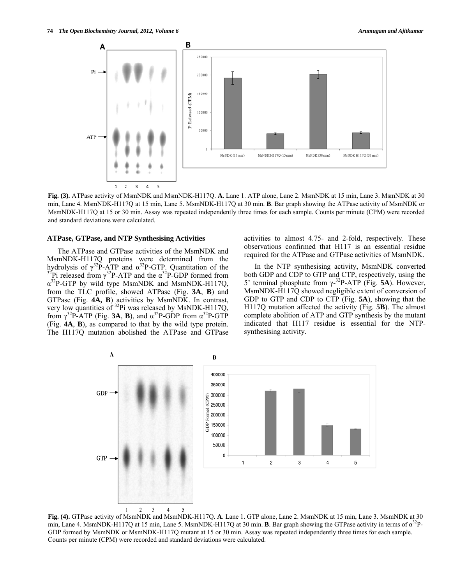*74 <i>The Open Biochemistry Journal, 2012, Volume 6 Arumugam and Ajitkumar <i>Arumugam and Ajitkumar Arumugam and Ajitkumar* 

**B** 



**Fig. (3).** ATPase activity of MsmNDK and MsmNDK-H117Q. **A**. Lane 1. ATP alone, Lane 2. MsmNDK at 15 min, Lane 3. MsmNDK at 30 min, Lane 4. MsmNDK-H117Q at 15 min, Lane 5. MsmNDK-H117Q at 30 min. **B**. Bar graph showing the ATPase activity of MsmNDK or MsmNDK-H117Q at 15 or 30 min. Assay was repeated independently three times for each sample. Counts per minute (CPM) were recorded and standard deviations were calculated.

#### **ATPase, GTPase, and NTP Synthesising Activities**

 The ATPase and GTPase activities of the MsmNDK and MsmNDK-H117Q proteins were determined from the hydrolysis of  $\gamma^{32}P$ -ATP and  $\alpha^{32}P$ -GTP. Quantitation of the hydrolysis of  $\gamma^{32}P$ -ATP and  $\alpha^{32}P$ -GTP. Quantitation of the  $\alpha^{32}P$  released from  $\gamma^{32}P$ -ATP and the α $\alpha^{32}P$ -GDP formed from  $\alpha^{32}P$ -GTP by wild type MsmNDK and MsmNDK-H117Q, from the TLC profile, showed ATPase (Fig. **3A**, **B**) and GTPase (Fig. **4A, B**) activities by MsmNDK. In contrast, very low quantities of  $32$ Pi was released by MsNDK-H117Q, from  $\gamma^{32}P$ -ATP (Fig. **3A, B)**, and  $\alpha^{32}P$ -GDP from  $\alpha^{32}P$ -GTP (Fig. **4A**, **B**), as compared to that by the wild type protein. The H117Q mutation abolished the ATPase and GTPase

activities to almost 4.75- and 2-fold, respectively. These observations confirmed that H117 is an essential residue required for the ATPase and GTPase activities of MsmNDK.

 In the NTP synthesising activity, MsmNDK converted both GDP and CDP to GTP and CTP, respectively, using the 5' terminal phosphate from γ-32P-ATP (Fig. **5A**). However, MsmNDK-H117Q showed negligible extent of conversion of GDP to GTP and CDP to CTP (Fig. **5A**), showing that the H117Q mutation affected the activity (Fig. **5B**). The almost complete abolition of ATP and GTP synthesis by the mutant indicated that H117 residue is essential for the NTPsynthesising activity.

**Fig. (4).** GTPase activity of MsmNDK and MsmNDK-H117Q. **A**. Lane 1. GTP alone, Lane 2. MsmNDK at 15 min, Lane 3. MsmNDK at 30 min, Lane 4. MsmNDK-H117Q at 15 min, Lane 5. MsmNDK-H117Q at 30 min. **B**. Bar graph showing the GTPase activity in terms of α32P-GDP formed by MsmNDK or MsmNDK-H117Q mutant at 15 or 30 min. Assay was repeated independently three times for each sample. Counts per minute (CPM) were recorded and standard deviations were calculated.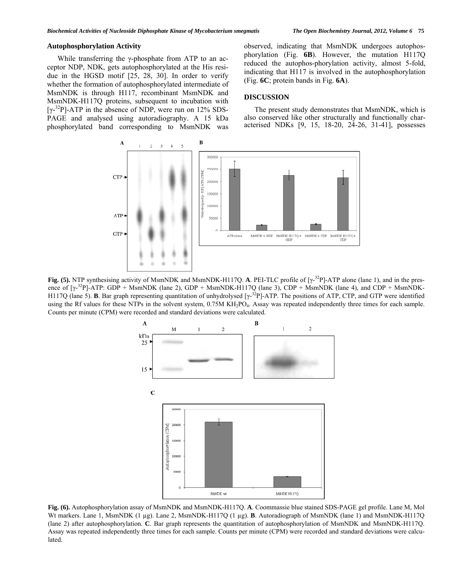# **Autophosphorylation Activity**

 While transferring the γ-phosphate from ATP to an acceptor NDP, NDK, gets autophosphorylated at the His residue in the HGSD motif [25, 28, 30]. In order to verify whether the formation of autophosphorylated intermediate of MsmNDK is through H117, recombinant MsmNDK and MsmNDK-H117Q proteins, subsequent to incubation with [ $\gamma$ -<sup>32</sup>P]-ATP in the absence of NDP, were run on 12% SDS-PAGE and analysed using autoradiography. A 15 kDa phosphorylated band corresponding to MsmNDK was observed, indicating that MsmNDK undergoes autophosphorylation (Fig. **6B**). However, the mutation H117Q reduced the autophos-phorylation activity, almost 5-fold, indicating that H117 is involved in the autophosphorylation (Fig. **6C**; protein bands in Fig. **6A**).

#### **DISCUSSION**

 The present study demonstrates that MsmNDK, which is also conserved like other structurally and functionally characterised NDKs [9, 15, 18-20, 24-26, 31-41], possesses



**Fig. (5).** NTP synthesising activity of MsmNDK and MsmNDK-H117Q. **A**. PEI-TLC profile of [γ-<sup>32</sup>P]-ATP alone (lane 1), and in the presence of  $[\gamma^{32}P]$ -ATP: GDP + MsmNDK (lane 2), GDP + MsmNDK-H117Q (lane 3), CDP + MsmNDK (lane 4), and CDP + MsmNDK-H117Q (lane 5). **B**. Bar graph representing quantitation of unhydrolysed [γ-32P]-ATP. The positions of ATP, CTP, and GTP were identified using the Rf values for these NTPs in the solvent system, 0.75M KH<sub>2</sub>PO<sub>4</sub>. Assay was repeated independently three times for each sample. Counts per minute (CPM) were recorded and standard deviations were calculated.



**Fig. (6).** Autophosphorylation assay of MsmNDK and MsmNDK-H117Q. **A**. Coommassie blue stained SDS-PAGE gel profile. Lane M, Mol Wt markers. Lane 1, MsmNDK (1 µg). Lane 2, MsmNDK-H117Q (1 µg). **B**. Autoradiograph of MsmNDK (lane 1) and MsmNDK-H117Q (lane 2) after autophosphorylation. **C**. Bar graph represents the quantitation of autophosphorylation of MsmNDK and MsmNDK-H117Q. Assay was repeated independently three times for each sample. Counts per minute (CPM) were recorded and standard deviations were calculated.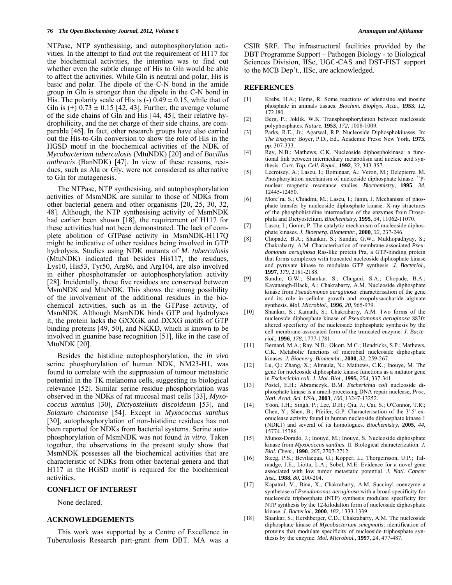NTPase, NTP synthesising, and autophosphorylation activities. In the attempt to find out the requirement of H117 for the biochemical activities, the intention was to find out whether even the subtle change of His to Gln would be able to affect the activities. While Gln is neutral and polar, His is basic and polar. The dipole of the C-N bond in the amide group in Gln is stronger than the dipole in the C-N bond in His. The polarity scale of His is  $(-)$  0.49  $\pm$  0.15, while that of Gln is  $(+)$  0.73  $\pm$  0.15 [42, 43]. Further, the average volume of the side chains of Gln and His [44, 45], their relative hydrophilicity, and the net charge of their side chains, are comparable [46]. In fact, other research groups have also carried out the His-to-Gln conversion to show the role of His in the HGSD motif in the biochemical activities of the NDK of *Mycobacterium tuberculosis* (MtuNDK) [20] and of *Bacillus anthracis* (BanNDK) [47]. In view of these reasons, residues, such as Ala or Gly, were not considered as alternative to Gln for mutagenesis.

 The NTPase, NTP synthesising, and autophosphorylation activities of MsmNDK are similar to those of NDKs from other bacterial genera and other organisms [20, 25, 30, 32, 48]. Although, the NTP synthesising activity of MsmNDK had earlier been shown [18], the requirement of H117 for these activities had not been demonstrated. The lack of complete abolition of GTPase activity in MsmNDK-H117Q might be indicative of other residues being involved in GTP hydrolysis. Studies using NDK mutants of *M. tuberculosis* (MtuNDK) indicated that besides His117, the residues, Lys10, His53, Tyr50, Arg86, and Arg104, are also involved in either phosphotransfer or autophosphorylation activity [28]. Incidentally, these five residues are conserved between MsmNDK and MtuNDK. This shows the strong possibility of the involvement of the additional residues in the biochemical activities, such as in the GTPase activity, of MsmNDK. Although MsmNDK binds GTP and hydrolyses it, the protein lacks the GXXGK and DXXG motifs of GTP binding proteins [49, 50], and NKKD, which is known to be involved in guanine base recognition [51], like in the case of MtuNDK [20].

 Besides the histidine autophosphorylation, the *in vivo* serine phosphorylation of human NDK, NM23-H1, was found to correlate with the suppression of tumour metastatic potential in the TK melanoma cells, suggesting its biological relevance [52]. Similar serine residue phosphorylation was observed in the NDKs of rat mucosal mast cells [33], *Myxococcus xanthus* [30], *Dictyostelium discoideum* [53], and *Solanum chacoense* [54]. Except in *Myxococcus xanthus* [30], autophosphorylation of non-histidine residues has not been reported for NDKs from bacterial systems. Serine autophosphorylation of MsmNDK was not found *in vitro*. Taken together, the observations in the present study show that MsmNDK possesses all the biochemical activities that are characteristic of NDKs from other bacterial genera and that H117 in the HGSD motif is required for the biochemical activities.

#### **CONFLICT OF INTEREST**

None declared.

#### **ACKNOWLEDGEMENTS**

 This work was supported by a Centre of Excellence in Tuberculosis Research part-grant from DBT. MA was a CSIR SRF. The infrastructural facilities provided by the DBT Programme Support – Pathogen Biology - to Biological Sciences Division, IISc, UGC-CAS and DST-FIST support to the MCB Dep't., IISc, are acknowledged.

#### **REFERENCES**

- [1] Krebs, H.A.; Hems, R. Some reactions of adenosine and inosine phosphate in animals tissues. *Biochim. Biophys. Acta.,* **1953**, *12*, 172-l80.
- [2] Berg, P.; Joklik, W.K. Transphosphorylation between nucleoside polyphosphates. *Nature,* **1953**, *172*, 1008-1009.
- [3] Parks, R.E., Jr.; Agarwal, R.P. Nucleoside Diphosphokinases. In: *The Enzyme;* Boyer, P.D., Ed., Academic Press: New York, **1973**, pp. 307-333.
- [4] Ray, N.B.; Mathews, C.K. Nucleoside diphosphokinase: a functional link between intermediary metabolism and nucleic acid synthesis. *Curr. Top. Cell. Regul.,* **1992**, *33*, 343-357.
- [5] Lecroisey, A.; Lascu, I.; Bominaar, A.; Veron, M.; Delepierre, M. Phosphorylation mechanism of nucleoside diphosphate kinase: <sup>31</sup>Pnuclear magnetic resonance studies. *Biochemistry,* **1995**, *34*, 12445-12450.
- [6] More´ra, S.; Chiadmi, M.; Lascu, I.; Janin, J. Mechanism of phosphate transfer by nucleoside diphosphate kinase: X-ray structures of the phosphohistidine intermediate of the enzymes from Drosophila and Dictyostelium. *Biochemistry,* **1995**, *34*, 11062-11070.
- [7] Lascu, I.; Gonin, P. The catalytic mechanism of nucleoside diphosphate kinases. *J. Bioenerg. Biomembr.,* **2000**, *32*, 237-246.
- [8] Chopade, B.A.; Shankar, S.; Sundin, G.W.; Mukhopadhyay, S.; Chakrabarty, A.M. Characterisation of membrane-associated *Pseudomonas aeruginosa* Ras-like protein Pra, a GTP-binding protein that forms complexes with truncated nucleoside diphosphate kinase and pyruvate kinase to modulate GTP synthesis. *J. Bacteriol.,* **1997**, *179*, 2181-2188.
- [9] Sundin, G.W.; Shankar, S.; Chugani, S.A.; Chopade, B.A.; Kavanaugh-Black, A.; Chakrabarty, A.M. Nucleoside diphosphate kinase from *Pseudomonas aeruginosa*: characterisation of the gene and its role in cellular growth and exopolysaccharide alginate synthesis. *Mol. Microbiol.,* **1996**, *20*, 965-979.
- [10] Shankar, S.; Kamath, S.; Chakrabarty, A.M. Two forms of the nucleoside diphosphate kinase of *Pseudomonas aeruginosa* 8830: altered specificity of the nucleoside triphosphate synthesis by the cell membrane-associated form of the truncated enzyme. *J. Bacteriol.,* **1996**, *178*, 1777-1781.
- [11] Bernard, M.A.; Ray, N.B.; Olcott, M.C.; Hendricks, S.P.; Mathews, C.K. Metabolic functions of microbial nucleoside diphosphate kinases. *J. Bioenerg. Biomembr.,* **2000**, *32*, 259-267.
- [12] Lu, Q.; Zhang, X.; Almaula, N.; Mathews, C.K.; Inouye, M. The gene for nucleoside diphosphate kinase functions as a mutator gene in *Escherichia coli*. *J. Mol. Biol.,* **1995**, *254*, 337-341.
- [13] Postel, E.H.; Abramczyk, B.M. *Escherichia coli* nucleoside diphosphate kinase is a uracil-processing DNA repair nuclease, *Proc. Natl. Acad. Sci. USA.,* **2003**, *100*, 13247-13252.
- [14] Yoon, J.H.; Singh, P.; Lee, D.H.; Qiu, J.; Cai, S.; O'Connor, T.R.; Chen, Y.; Shen, B.; Pfeifer, G.P. Characterisation of the 3'-5' exonuclease activity found in human nucleoside diphosphate kinase 1 (NDK1) and several of its homologues. *Biochemistry,* **2005**, *44*, 15774-15786.
- [15] Munoz-Dorado, J.; Inouye, M.; Inouye, S. Nucleoside diphosphate kinase from *Myxococcus xanthus*. II. Biological characterization. *J. Biol. Chem.,* **1990**, *265*, 2707-2712.
- [16] Steeg, P.S.; Bevilacqua, G.; Kopper, L.; Thorgeirsson, U.P.; Talmadge, J.E.; Liotta, L.A.; Sobel, M.E. Evidence for a novel gene associated with low tumor metastatic potential. *J. Natl. Cancer Inst.,* **1988**, *80*, 200-204.
- [17] Kapatral, V.; Bina, X.; Chakrabarty, A.M. Succinyl coenzyme a synthetase of *Pseudomonas aeruginosa* with a broad specificity for nucleoside triphosphate (NTP) synthesis modulate specificity for NTP synthesis by the 12-kilodalton form of nucleoside diphosphate kinase. *J. Bacteriol.,* **2000**, *182*, 1333-1339.
- [18] Shankar, S.; Hershberger, C.D.; Chakrabarty, A.M. The nucleoside diphosphate kinase of *Mycobacterium smegmatis*: identification of proteins that modulate specificity of nucleoside triphosphate synthesis by the enzyme. *Mol. Microbiol.,* **1997**, *24*, 477-487.